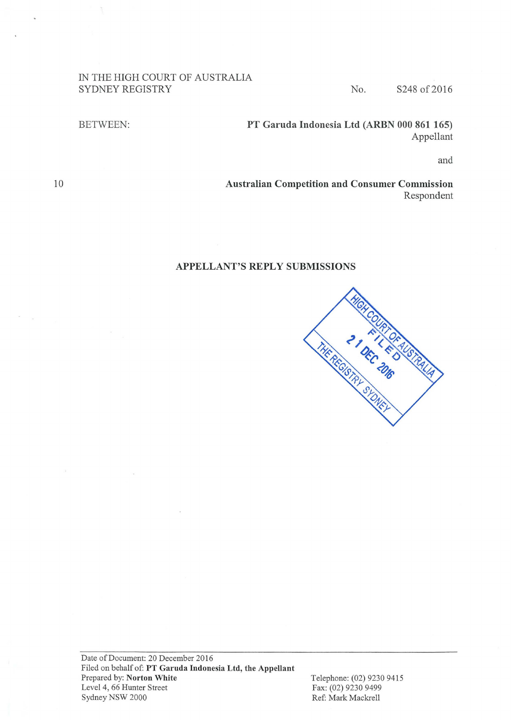### IN THE HIGH COURT OF AUSTRALIA SYDNEY REGISTRY No. S248 of 2016

BETWEEN: PT Garuda Indonesia Ltd (ARBN 000 861 165) Appellant

and

Australian Competition and Consumer Commission Respondent

### APPELLANT'S REPLY SUBMISSIONS



Telephone: (02) 9230 9415 Fax: (02) 9230 9499 Ref: Mark Mackrell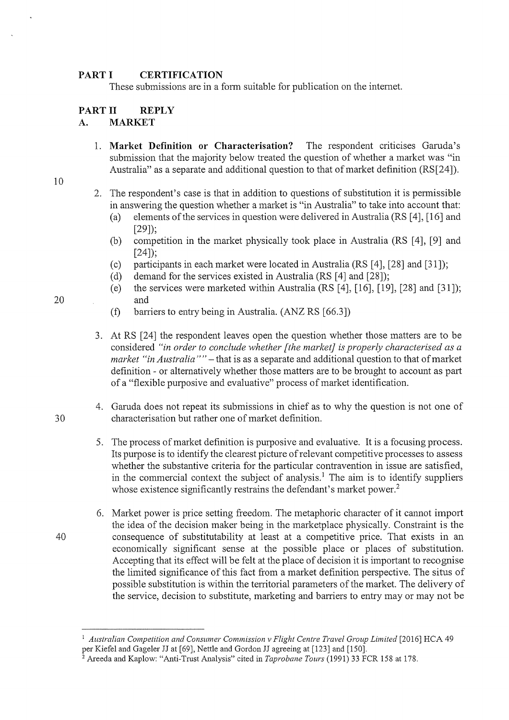#### **PART I CERTIFICATION**

These submissions are in a form suitable for publication on the intemet.

# **PART 11 REPLY**

# A. **MARKET**

- 1. **Market Definition or Characterisation?** The respondent criticises Garuda's submission that the majority below treated the question of whether a market was "in Australia" as a separate and additional question to that of market definition (RS[24]).
- 10
- 2. The respondent's case is that in addition to questions of substitution it is pennissible in answering the question whether a market is "in Australia" to take into account that:
	- (a) elements of the services in question were delivered in Australia (RS  $[4]$ ,  $[16]$  and [29]);
	- (b) competition in the market physically took place in Australia (RS [4], [9] and  $[24]$ :
	- (c) participants in each market were located in Australia (RS [4], [28] and [31]);
	- (d) demand for the services existed in Australia (RS [4] and [28]);
- (e) the services were marketed within Australia (RS [4], [16], [19], [28] and [31]); 20 and
	- (f) barriers to entry being in Australia. (ANZ RS [66.3])
	- 3. At RS [24] the respondent leaves open the question whether those matters are to be considered *"in order to conclude whether [the market] is properly characterised as a market "in Australia""-*that is as a separate and additional question to that of market definition - or alternatively whether those matters are to be brought to account as part of a "flexible purposive and evaluative" process of market identification.
- 4. Garuda does not repeat its submissions in chief as to why the question is not one of 30 characterisation but rather one of market definition.
	- 5. The process of market definition is purposive and evaluative. It is a focusing process. Its purpose is to identify the clearest picture of relevant competitive processes to assess whether the substantive criteria for the particular contravention in issue are satisfied, in the commercial context the subject of analysis.<sup>1</sup> The aim is to identify suppliers whose existence significantly restrains the defendant's market power.<sup>2</sup>
- 6. Market power is price setting freedom. The metaphoric character of it cannot import the idea of the decision maker being in the marketplace physically. Constraint is the 40 consequence of substitutability at least at a competitive price. That exists in an economically significant sense at the possible place or places of substitution. Accepting that its effect will be felt at the place of decision it is important to recognise the limited significance of this fact from a market definition perspective. The situs of possible substitution is within the territorial parameters of the market. The delivery of the service, decision to substitute, marketing and barriers to entry may or may not be

<sup>&</sup>lt;sup>1</sup> Australian Competition and Consumer Commission v Flight Centre Travel Group Limited [2016] HCA 49 per Kiefel and Gageler JJ at [69], Nettle and Gordon JJ agreeing at [123] and [150].

<sup>&</sup>lt;sup>2</sup> Areeda and Kaplow: "Anti-Trust Analysis" cited in *Taprobane Tours* (1991) 33 FCR 158 at 178.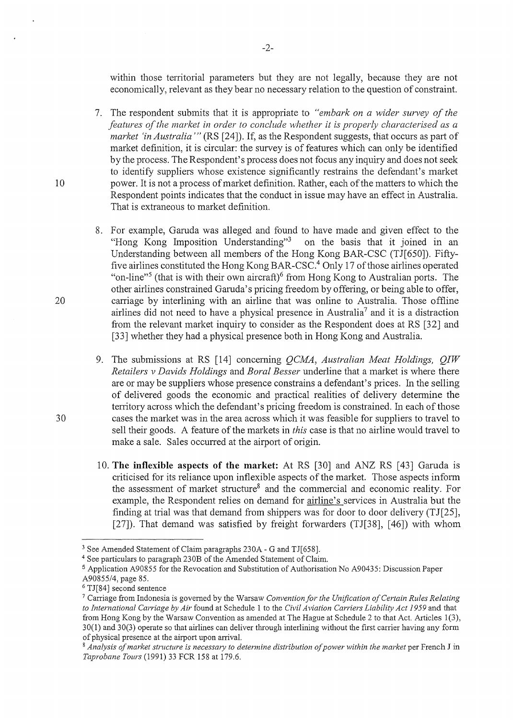within those territorial parameters but they are not legally, because they are not economically, relevant as they bear no necessary relation to the question of constraint.

- 7. The respondent submits that it is appropriate to *"embark on a wider survey of the features of the market in order to conclude whether it is properly characterised as a market 'in Australia'"* (RS [24]). If, as the Respondent suggests, that occurs as part of market definition, it is circular: the survey is of features which can only be identified by the process. The Respondent's process does not focus any inquiry and does not seek to identify suppliers whose existence significantly restrains the defendant's market 10 power. It is not a process of market definition. Rather, each of the matters to which the Respondent points indicates that the conduct in issue may have an effect in Australia. That is extraneous to market definition.
- 8. For example, Garuda was alleged and found to have made and given effect to the "Hong Kong Imposition Understanding"3 on the basis that it joined in an Understanding between all members of the Hong Kong BAR-CSC (TJ[650]). Fiftyfive airlines constituted the Hong Kong BAR-CSC.4 Only 17 of those airlines operated "on-line"<sup>5</sup> (that is with their own aircraft)<sup>6</sup> from Hong Kong to Australian ports. The other airlines constrained Garuda's pricing freedom by offering, or being able to offer, 20 carriage by interlining with an airline that was online to Australia. Those offline airlines did not need to have a physical presence in Australia<sup>7</sup> and it is a distraction from the relevant market inquiry to consider as the Respondent does at RS [32] and [33] whether they had a physical presence both in Hong Kong and Australia.
- 9. The submissions at RS [14] conceming *QCMA, Australian Meat Holdings, QIW Retailers v Davids Holdings* and *Boral Besser* underline that a market is where there are or may be suppliers whose presence constrains a defendant's prices. In the selling of delivered goods the economic and practical realities of delivery detennine the territory across which the defendant's pricing freedom is constrained. In each of those 30 cases the market was in the area across which it was feasible for suppliers to travel to sell their goods. A feature of the markets in *this* case is that no airline would travel to make a sale. Sales occurred at the airport of origin.
	- 10. **The inflexible aspects of the market:** At RS [30] and ANZ RS [43] Garuda is criticised for its reliance upon inflexible aspects of the market. Those aspects infonn the assessment of market structure<sup>8</sup> and the commercial and economic reality. For example, the Respondent relies on demand for airline's services in Australia but the finding at trial was that demand from shippers was for door to door delivery (TJ[25], [27]). That demand was satisfied by freight forwarders (TJ[38], [46]) with whom

<sup>3</sup> See Amended Statement of Claim paragraphs 230A- G and TJ[658].

<sup>4</sup>See particulars to paragraph 230B of the Amended Statement of Claim.

<sup>5</sup> Application A90855 for the Revocation and Substitution of Authorisation No A90435: Discussion Paper

<sup>&</sup>lt;sup>6</sup> TJ[84] second sentence<br><sup>7</sup> Carriage from Indonesia is governed by the Warsaw *Convention for the Unification of Certain Rules Relating to International Carriage by Air* found at Schedule 1 to the *Civil Aviation Carriers Liability Act 1959* and that from Hong Kong by the Warsaw Convention as amended at The Hague at Schedule 2 to that Act. Articles 1(3), 30(1) and 30(3) operate so that airlines can deliver through interlining without the first carrier having any form of physical presence at the airport upon arrival. 8 *Analysis of market structure is necessmy to determine distribution of power within the market* per French J in

*Taprobane Tours* (1991) 33 FCR 158 at 179.6.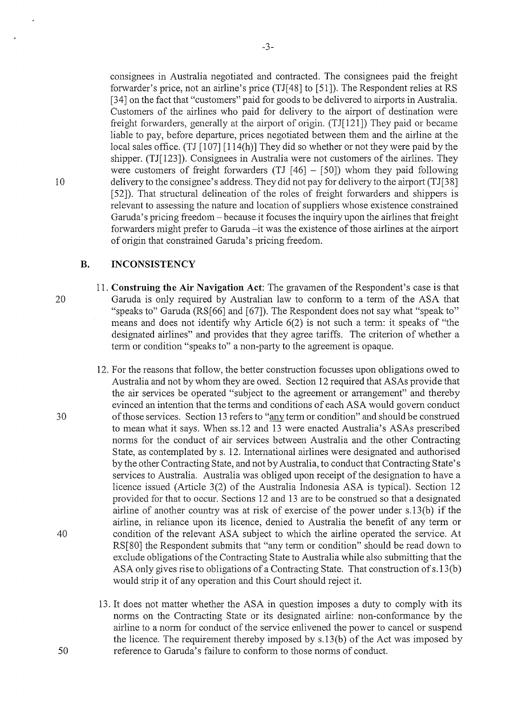consignees in Australia negotiated and contracted. The consignees paid the freight forwarder's price, not an airline's price (TJ[ 48] to [51]). The Respondent relies at RS [34] on the fact that "customers" paid for goods to be delivered to airports in Australia. Customers of the airlines who paid for delivery to the airport of destination were freight forwarders, generally at the airport of origin. (TJ $[121]$ ) They paid or became liable to pay, before departure, prices negotiated between them and the airline at the local sales office. (TJ  $[107] [114(h)]$  They did so whether or not they were paid by the shipper. (TJ[123]). Consignees in Australia were not customers of the airlines. They were customers of freight forwarders (TJ  $[46] - [50]$ ) whom they paid following 10 delivery to the consignee's address. They did not pay for delivery to the airport (TJ[3 8] [52]). That structural delineation of the roles of freight forwarders and shippers is relevant to assessing the nature and location of suppliers whose existence constrained Garuda's pricing freedom – because it focuses the inquiry upon the airlines that freight forwarders might prefer to Garuda -it was the existence of those airlines at the airport of origin that constrained Garuda's pricing freedom.

## **B. INCONSISTENCY**

- 11. **Construing the Air Navigation Act:** The gravamen of the Respondent's case is that 20 Garuda is only required by Australian law to confonn to a tenn of the ASA that "speaks to" Garuda (RS[66] and [67]). The Respondent does not say what "speak to" means and does not identify why Article  $6(2)$  is not such a term: it speaks of "the designated airlines" and provides that they agree tariffs. The criterion of whether a tenn or condition "speaks to" a non-party to the agreement is opaque.
- 12. For the reasons that follow, the better construction focusses upon obligations owed to Australia and not by whom they are owed. Section 12 required that ASAs provide that the air services be operated "subject to the agreement or arrangement" and thereby evinced an intention that the terms and conditions of each ASA would govern conduct 30 ofthose services. Section 13 refers to "anytenn or condition" and should be construed to mean what it says. When ss.12 and 13 were enacted Australia's ASAs prescribed norms for the conduct of air services between Australia and the other Contracting State, as contemplated by s. 12. International airlines were designated and authorised by the other Contracting State, and not by Australia, to conduct that Contracting State's services to Australia. Australia was obliged upon receipt of the designation to have a licence issued (Article 3(2) of the Australia Indonesia ASA is typical). Section 12 provided for that to occur. Sections 12 and 13 are to be construed so that a designated airline of another country was at risk of exercise of the power under s.l3(b) if the airline, in reliance upon its licence, denied to Australia the benefit of any term or 40 condition of the relevant ASA subject to which the airline operated the service. At RS[80] the Respondent submits that "any term or condition" should be read down to exclude obligations of the Contracting State to Australia while also submitting that the ASA only gives rise to obligations of a Contracting State. That construction of s.13(b) would strip it of any operation and this Court should reject it.
- 13. It does not matter whether the ASA in question imposes a duty to comply with its norms on the Contracting State or its designated airline: non-conformance by the airline to a norm for conduct of the service enlivened the power to cancel or suspend the licence. The requirement thereby imposed by s.l3(b) of the Act was imposed by 50 reference to Garuda's failure to confonn to those norms of conduct.

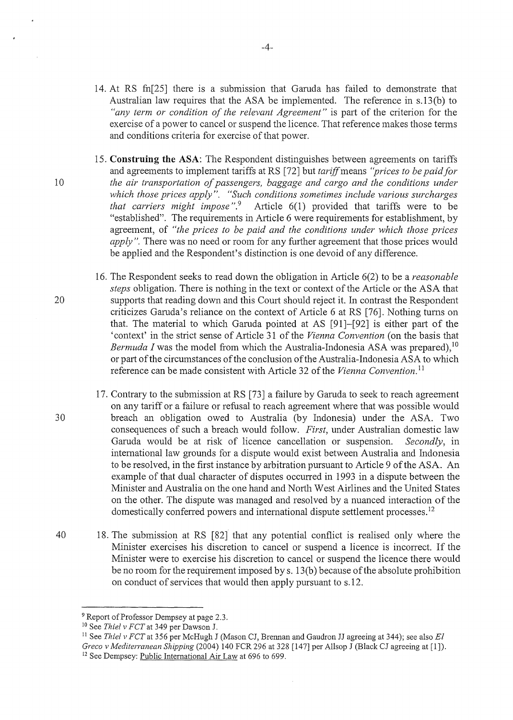- 14. At RS fn[25] there is a submission that Gamda has failed to demonstrate that Australian law requires that the ASA be implemented. The reference in s.13 (b) to *"any term or condition of the relevant Agreement"* is part of the criterion for the exercise of a power to cancel or suspend the licence. That reference makes those tenns and conditions criteria for exercise of that power.
- 15. **Construing the ASA:** The Respondent distinguishes between agreements on tariffs and agreements to implement tariffs at RS [72] but *tariff* means *"prices to be paid for*  10 *the air transportation of passengers, baggage and cargo and the conditions under*  which those prices apply". "Such conditions sometimes include various surcharges *that carriers might impose* ".9 Article 6(1) provided that tariffs were to be "established". The requirements in Article 6 were requirements for establishment, by agreement, of *"the prices to be paid and the conditions under which those prices apply"*. There was no need or room for any further agreement that those prices would be applied and the Respondent's distinction is one devoid of any difference.
- 16. The Respondent seeks to read down the obligation in Article 6(2) to be a *reasonable steps* obligation. There is nothing in the text or context of the Article or the ASA that 20 supports that reading down and this Court should reject it. In contrast the Respondent criticizes Garuda's reliance on the context of Article 6 at RS [76]. Nothing turns on that. The material to which Gamda pointed at AS [91]-[92] is either part of the 'context' in the strict sense of Article 31 of the *Vienna Convention* (on the basis that *Bermuda I* was the model from which the Australia-Indonesia ASA was prepared), <sup>10</sup> or part of the circumstances of the conclusion of the Australia-Indonesia ASA to which reference can be made consistent with Article 32 of the Vienna Convention.<sup>11</sup>
- 17. Contrary to the submission at RS [73] a failure by Gamda to seek to reach agreement on any tariff or a failure or refusal to reach agreement where that was possible would 30 breach an obligation owed to Australia (by Indonesia) under the ASA. Two consequences of such a breach would follow. *First,* under Australian domestic law Gamda would be at risk of licence cancellation or suspension. *Secondly,* in international law grounds for a dispute would exist between Australia and Indonesia to be resolved, in the first instance by arbitration pursuant to Article 9 of the ASA. An example of that dual character of disputes occurred in 1993 in a dispute between the Minister and Australia on the one hand and North West Airlines and the United States on the other. The dispute was managed and resolved by a nuanced interaction of the domestically conferred powers and international dispute settlement processes.<sup>12</sup>
- 40 18. The submission at RS [82] that any potential conflict is realised only where the Minister exercises his discretion to cancel or suspend a licence is incorrect. If the Minister were to exercise his discretion to cancel or suspend the licence there would be no room for the requirement imposed by s. 13(b) because of the absolute prohibition on conduct of services that would then apply pursuant to s.l2.

 $\bar{z}$ 

 $-4-$ 

<sup>&</sup>lt;sup>9</sup> Report of Professor Dempsey at page 2.3.

<sup>&</sup>lt;sup>10</sup> See Thiel v FCT at 349 per Dawson J.

<sup>&</sup>lt;sup>11</sup> See Thiel v FCT at 356 per McHugh J (Mason CJ, Brennan and Gaudron JJ agreeing at 344); see also El *Greco v Mediterranean Shipping* (2004) 140 FCR 296 at 328 [147] per Allsop J (Black CJ agreeing at [1]).

<sup>&</sup>lt;sup>12</sup> See Dempsey: Public International Air Law at 696 to 699.